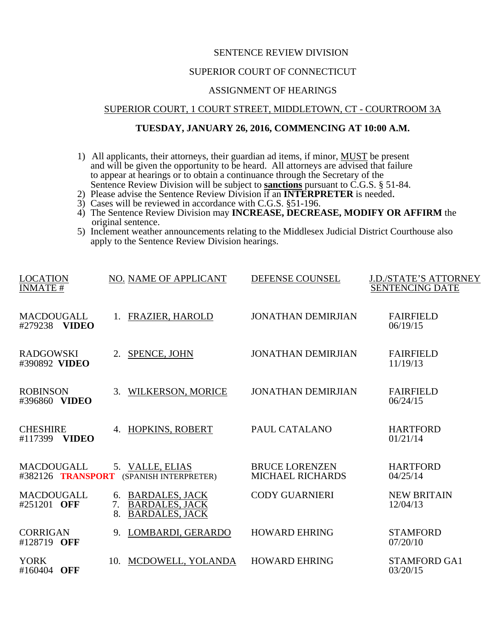# SENTENCE REVIEW DIVISION

# SUPERIOR COURT OF CONNECTICUT

## ASSIGNMENT OF HEARINGS

#### SUPERIOR COURT, 1 COURT STREET, MIDDLETOWN, CT - COURTROOM 3A

# **TUESDAY, JANUARY 26, 2016, COMMENCING AT 10:00 A.M.**

- 1) All applicants, their attorneys, their guardian ad items, if minor, MUST be present and will be given the opportunity to be heard. All attorneys are advised that failure to appear at hearings or to obtain a continuance through the Secretary of the Sentence Review Division will be subject to **sanctions** pursuant to C.G.S. § 51-84.
- 2) Please advise the Sentence Review Division if an **INTERPRETER** is needed. 3) Cases will be reviewed in accordance with C.G.S. §51-196.
- 
- 4) The Sentence Review Division may **INCREASE, DECREASE, MODIFY OR AFFIRM** the original sentence.
- 5) Inclement weather announcements relating to the Middlesex Judicial District Courthouse also apply to the Sentence Review Division hearings.

| <b>LOCATION</b><br><b>INMATE#</b>          | NO. NAME OF APPLICANT                                                                     | DEFENSE COUNSEL           | <b>J.D./STATE'S ATTORNEY</b><br><b>SENTENCING DATE</b> |
|--------------------------------------------|-------------------------------------------------------------------------------------------|---------------------------|--------------------------------------------------------|
| <b>MACDOUGALL</b>                          | FRAZIER, HAROLD                                                                           | <b>JONATHAN DEMIRJIAN</b> | <b>FAIRFIELD</b>                                       |
| #279238 VIDEO                              | 1.                                                                                        |                           | 06/19/15                                               |
| <b>RADGOWSKI</b>                           | SPENCE, JOHN                                                                              | <b>JONATHAN DEMIRJIAN</b> | <b>FAIRFIELD</b>                                       |
| #390892 VIDEO                              | 2.                                                                                        |                           | 11/19/13                                               |
| <b>ROBINSON</b>                            | WILKERSON, MORICE                                                                         | <b>JONATHAN DEMIRJIAN</b> | <b>FAIRFIELD</b>                                       |
| #396860 VIDEO                              | $\mathcal{R}_{\alpha}$                                                                    |                           | 06/24/15                                               |
| <b>CHESHIRE</b><br>#117399<br><b>VIDEO</b> | HOPKINS, ROBERT<br>4.                                                                     | PAUL CATALANO             | <b>HARTFORD</b><br>01/21/14                            |
| <b>MACDOUGALL</b>                          | 5. VALLE, ELIAS                                                                           | <b>BRUCE LORENZEN</b>     | <b>HARTFORD</b>                                        |
| #382126 TRANSPORT                          | (SPANISH INTERPRETER)                                                                     | <b>MICHAEL RICHARDS</b>   | 04/25/14                                               |
| <b>MACDOUGALL</b><br>#251201 OFF           | <b>BARDALES, JACK</b><br>6.<br><b>BARDALES, JACK</b><br>7.<br><b>BARDALES, JACK</b><br>8. | <b>CODY GUARNIERI</b>     | <b>NEW BRITAIN</b><br>12/04/13                         |
| <b>CORRIGAN</b>                            | LOMBARDI, GERARDO                                                                         | <b>HOWARD EHRING</b>      | <b>STAMFORD</b>                                        |
| #128719 OFF                                | 9.                                                                                        |                           | 07/20/10                                               |
| <b>YORK</b>                                | MCDOWELL, YOLANDA                                                                         | <b>HOWARD EHRING</b>      | <b>STAMFORD GA1</b>                                    |
| #160404 OFF                                | 10.                                                                                       |                           | 03/20/15                                               |